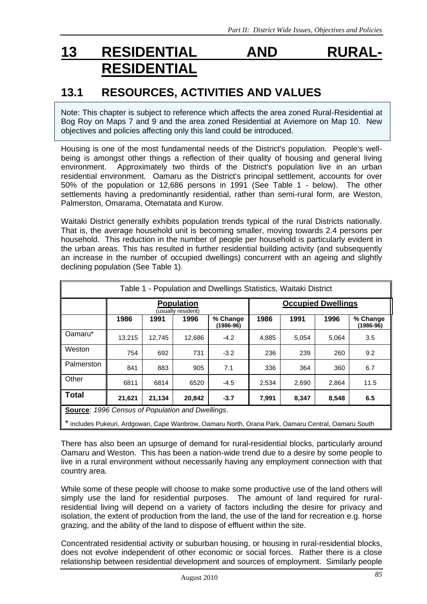# **13 RESIDENTIAL AND RURAL-RESIDENTIAL**

## **13.1 RESOURCES, ACTIVITIES AND VALUES**

Note: This chapter is subject to reference which affects the area zoned Rural-Residential at Bog Roy on Maps 7 and 9 and the area zoned Residential at Aviemore on Map 10. New objectives and policies affecting only this land could be introduced.

Housing is one of the most fundamental needs of the District's population. People's wellbeing is amongst other things a reflection of their quality of housing and general living environment. Approximately two thirds of the District's population live in an urban residential environment. Oamaru as the District's principal settlement, accounts for over 50% of the population or 12,686 persons in 1991 (See Table 1 - below). The other settlements having a predominantly residential, rather than semi-rural form, are Weston, Palmerston, Omarama, Otematata and Kurow.

Waitaki District generally exhibits population trends typical of the rural Districts nationally. That is, the average household unit is becoming smaller, moving towards 2.4 persons per household. This reduction in the number of people per household is particularly evident in the urban areas. This has resulted in further residential building activity (and subsequently an increase in the number of occupied dwellings) concurrent with an ageing and slightly declining population (See Table 1).

| Table 1 - Population and Dwellings Statistics, Waitaki District |        |        |                         |                                                        |       |       |                         |
|-----------------------------------------------------------------|--------|--------|-------------------------|--------------------------------------------------------|-------|-------|-------------------------|
| <b>Population</b><br>(usually resident)                         |        |        |                         | <b>Occupied Dwellings</b>                              |       |       |                         |
| 1986                                                            | 1991   | 1996   | % Change<br>$(1986-96)$ | 1986                                                   | 1991  | 1996  | % Change<br>$(1986-96)$ |
| 13,215                                                          | 12.745 | 12,686 | $-4.2$                  | 4,885                                                  | 5,054 | 5,064 | 3.5                     |
| 754                                                             | 692    | 731    | $-3.2$                  | 236                                                    | 239   | 260   | 9.2                     |
| 841                                                             | 883    | 905    | 7.1                     | 336                                                    | 364   | 360   | 6.7                     |
| 6811                                                            | 6814   | 6520   | $-4.5$                  | 2,534                                                  | 2,690 | 2,864 | 11.5                    |
| 21,621                                                          | 21,134 | 20,842 | $-3.7$                  | 7,991                                                  | 8,347 | 8,548 | 6.5                     |
|                                                                 |        |        |                         | <b>Source:</b> 1996 Census of Population and Dwellings |       |       |                         |

**Source**: *1996 Census of Population and Dwellings*.

\* includes Pukeuri, Ardgowan, Cape Wanbrow, Oamaru North, Orana Park, Oamaru Central, Oamaru South

There has also been an upsurge of demand for rural-residential blocks, particularly around Oamaru and Weston. This has been a nation-wide trend due to a desire by some people to live in a rural environment without necessarily having any employment connection with that country area.

While some of these people will choose to make some productive use of the land others will simply use the land for residential purposes. The amount of land required for ruralresidential living will depend on a variety of factors including the desire for privacy and isolation, the extent of production from the land, the use of the land for recreation e.g. horse grazing, and the ability of the land to dispose of effluent within the site.

Concentrated residential activity or suburban housing, or housing in rural-residential blocks, does not evolve independent of other economic or social forces. Rather there is a close relationship between residential development and sources of employment. Similarly people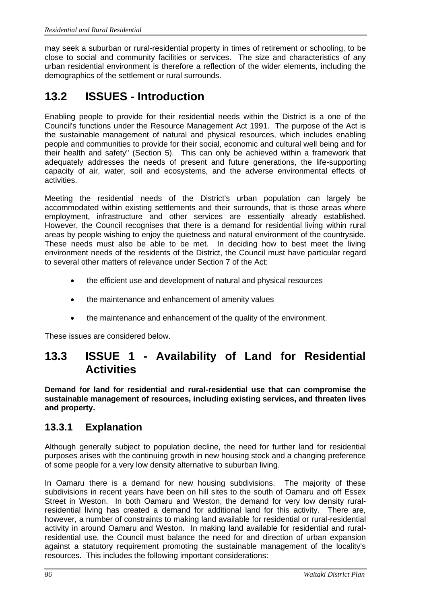may seek a suburban or rural-residential property in times of retirement or schooling, to be close to social and community facilities or services. The size and characteristics of any urban residential environment is therefore a reflection of the wider elements, including the demographics of the settlement or rural surrounds.

## **13.2 ISSUES - Introduction**

Enabling people to provide for their residential needs within the District is a one of the Council's functions under the Resource Management Act 1991. The purpose of the Act is the sustainable management of natural and physical resources, which includes enabling people and communities to provide for their social, economic and cultural well being and for their health and safety" (Section 5). This can only be achieved within a framework that adequately addresses the needs of present and future generations, the life-supporting capacity of air, water, soil and ecosystems, and the adverse environmental effects of activities.

Meeting the residential needs of the District's urban population can largely be accommodated within existing settlements and their surrounds, that is those areas where employment, infrastructure and other services are essentially already established. However, the Council recognises that there is a demand for residential living within rural areas by people wishing to enjoy the quietness and natural environment of the countryside. These needs must also be able to be met. In deciding how to best meet the living environment needs of the residents of the District, the Council must have particular regard to several other matters of relevance under Section 7 of the Act:

- the efficient use and development of natural and physical resources
- the maintenance and enhancement of amenity values
- the maintenance and enhancement of the quality of the environment.

These issues are considered below.

## **13.3 ISSUE 1 - Availability of Land for Residential Activities**

**Demand for land for residential and rural-residential use that can compromise the sustainable management of resources, including existing services, and threaten lives and property.**

### **13.3.1 Explanation**

Although generally subject to population decline, the need for further land for residential purposes arises with the continuing growth in new housing stock and a changing preference of some people for a very low density alternative to suburban living.

In Oamaru there is a demand for new housing subdivisions. The majority of these subdivisions in recent years have been on hill sites to the south of Oamaru and off Essex Street in Weston. In both Oamaru and Weston, the demand for very low density ruralresidential living has created a demand for additional land for this activity. There are, however, a number of constraints to making land available for residential or rural-residential activity in around Oamaru and Weston. In making land available for residential and ruralresidential use, the Council must balance the need for and direction of urban expansion against a statutory requirement promoting the sustainable management of the locality's resources. This includes the following important considerations: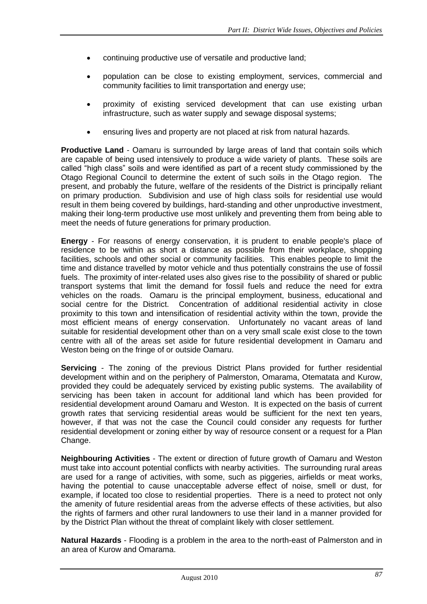- continuing productive use of versatile and productive land;
- population can be close to existing employment, services, commercial and community facilities to limit transportation and energy use;
- proximity of existing serviced development that can use existing urban infrastructure, such as water supply and sewage disposal systems;
- ensuring lives and property are not placed at risk from natural hazards.

**Productive Land** - Oamaru is surrounded by large areas of land that contain soils which are capable of being used intensively to produce a wide variety of plants. These soils are called "high class" soils and were identified as part of a recent study commissioned by the Otago Regional Council to determine the extent of such soils in the Otago region. The present, and probably the future, welfare of the residents of the District is principally reliant on primary production. Subdivision and use of high class soils for residential use would result in them being covered by buildings, hard-standing and other unproductive investment, making their long-term productive use most unlikely and preventing them from being able to meet the needs of future generations for primary production.

**Energy** - For reasons of energy conservation, it is prudent to enable people's place of residence to be within as short a distance as possible from their workplace, shopping facilities, schools and other social or community facilities. This enables people to limit the time and distance travelled by motor vehicle and thus potentially constrains the use of fossil fuels. The proximity of inter-related uses also gives rise to the possibility of shared or public transport systems that limit the demand for fossil fuels and reduce the need for extra vehicles on the roads. Oamaru is the principal employment, business, educational and social centre for the District. Concentration of additional residential activity in close proximity to this town and intensification of residential activity within the town, provide the most efficient means of energy conservation. Unfortunately no vacant areas of land suitable for residential development other than on a very small scale exist close to the town centre with all of the areas set aside for future residential development in Oamaru and Weston being on the fringe of or outside Oamaru.

**Servicing** - The zoning of the previous District Plans provided for further residential development within and on the periphery of Palmerston, Omarama, Otematata and Kurow, provided they could be adequately serviced by existing public systems. The availability of servicing has been taken in account for additional land which has been provided for residential development around Oamaru and Weston. It is expected on the basis of current growth rates that servicing residential areas would be sufficient for the next ten years, however, if that was not the case the Council could consider any requests for further residential development or zoning either by way of resource consent or a request for a Plan Change.

**Neighbouring Activities** - The extent or direction of future growth of Oamaru and Weston must take into account potential conflicts with nearby activities. The surrounding rural areas are used for a range of activities, with some, such as piggeries, airfields or meat works, having the potential to cause unacceptable adverse effect of noise, smell or dust, for example, if located too close to residential properties. There is a need to protect not only the amenity of future residential areas from the adverse effects of these activities, but also the rights of farmers and other rural landowners to use their land in a manner provided for by the District Plan without the threat of complaint likely with closer settlement.

**Natural Hazards** - Flooding is a problem in the area to the north-east of Palmerston and in an area of Kurow and Omarama.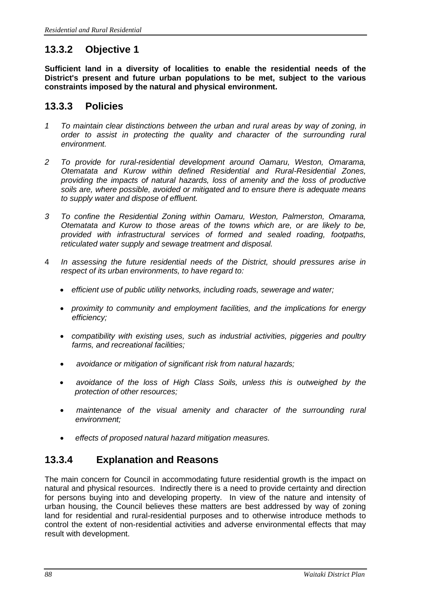## **13.3.2 Objective 1**

**Sufficient land in a diversity of localities to enable the residential needs of the District's present and future urban populations to be met, subject to the various constraints imposed by the natural and physical environment.**

#### **13.3.3 Policies**

- *1 To maintain clear distinctions between the urban and rural areas by way of zoning, in order to assist in protecting the quality and character of the surrounding rural environment.*
- *2 To provide for rural-residential development around Oamaru, Weston, Omarama, Otematata and Kurow within defined Residential and Rural-Residential Zones, providing the impacts of natural hazards, loss of amenity and the loss of productive soils are, where possible, avoided or mitigated and to ensure there is adequate means to supply water and dispose of effluent.*
- *3 To confine the Residential Zoning within Oamaru, Weston, Palmerston, Omarama, Otematata and Kurow to those areas of the towns which are, or are likely to be, provided with infrastructural services of formed and sealed roading, footpaths, reticulated water supply and sewage treatment and disposal.*
- 4 *In assessing the future residential needs of the District, should pressures arise in respect of its urban environments, to have regard to:* 
	- *efficient use of public utility networks, including roads, sewerage and water;*
	- *proximity to community and employment facilities, and the implications for energy efficiency;*
	- *compatibility with existing uses, such as industrial activities, piggeries and poultry farms, and recreational facilities;*
	- *avoidance or mitigation of significant risk from natural hazards;*
	- *avoidance of the loss of High Class Soils, unless this is outweighed by the protection of other resources;*
	- maintenance of the visual amenity and character of the surrounding rural *environment;*
	- *effects of proposed natural hazard mitigation measures.*

### **13.3.4 Explanation and Reasons**

The main concern for Council in accommodating future residential growth is the impact on natural and physical resources. Indirectly there is a need to provide certainty and direction for persons buying into and developing property. In view of the nature and intensity of urban housing, the Council believes these matters are best addressed by way of zoning land for residential and rural-residential purposes and to otherwise introduce methods to control the extent of non-residential activities and adverse environmental effects that may result with development.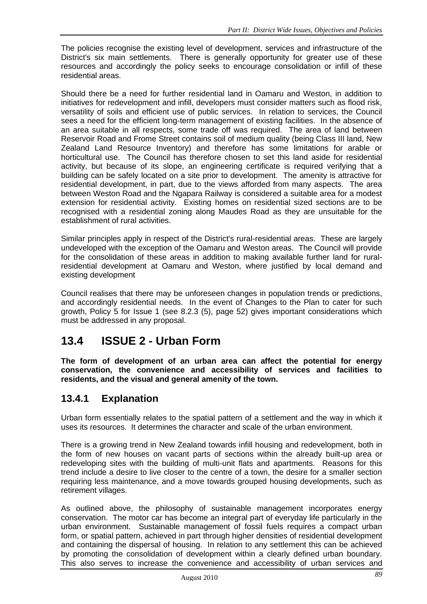The policies recognise the existing level of development, services and infrastructure of the District's six main settlements. There is generally opportunity for greater use of these resources and accordingly the policy seeks to encourage consolidation or infill of these residential areas.

Should there be a need for further residential land in Oamaru and Weston, in addition to initiatives for redevelopment and infill, developers must consider matters such as flood risk, versatility of soils and efficient use of public services. In relation to services, the Council sees a need for the efficient long-term management of existing facilities. In the absence of an area suitable in all respects, some trade off was required. The area of land between Reservoir Road and Frome Street contains soil of medium quality (being Class III land, New Zealand Land Resource Inventory) and therefore has some limitations for arable or horticultural use. The Council has therefore chosen to set this land aside for residential activity, but because of its slope, an engineering certificate is required verifying that a building can be safely located on a site prior to development. The amenity is attractive for residential development, in part, due to the views afforded from many aspects. The area between Weston Road and the Ngapara Railway is considered a suitable area for a modest extension for residential activity. Existing homes on residential sized sections are to be recognised with a residential zoning along Maudes Road as they are unsuitable for the establishment of rural activities.

Similar principles apply in respect of the District's rural-residential areas. These are largely undeveloped with the exception of the Oamaru and Weston areas. The Council will provide for the consolidation of these areas in addition to making available further land for ruralresidential development at Oamaru and Weston, where justified by local demand and existing development

Council realises that there may be unforeseen changes in population trends or predictions, and accordingly residential needs. In the event of Changes to the Plan to cater for such growth, Policy 5 for Issue 1 (see 8.2.3 (5), page 52) gives important considerations which must be addressed in any proposal.

## **13.4 ISSUE 2 - Urban Form**

**The form of development of an urban area can affect the potential for energy conservation, the convenience and accessibility of services and facilities to residents, and the visual and general amenity of the town.**

## **13.4.1 Explanation**

Urban form essentially relates to the spatial pattern of a settlement and the way in which it uses its resources. It determines the character and scale of the urban environment.

There is a growing trend in New Zealand towards infill housing and redevelopment, both in the form of new houses on vacant parts of sections within the already built-up area or redeveloping sites with the building of multi-unit flats and apartments. Reasons for this trend include a desire to live closer to the centre of a town, the desire for a smaller section requiring less maintenance, and a move towards grouped housing developments, such as retirement villages.

As outlined above, the philosophy of sustainable management incorporates energy conservation. The motor car has become an integral part of everyday life particularly in the urban environment. Sustainable management of fossil fuels requires a compact urban form, or spatial pattern, achieved in part through higher densities of residential development and containing the dispersal of housing. In relation to any settlement this can be achieved by promoting the consolidation of development within a clearly defined urban boundary. This also serves to increase the convenience and accessibility of urban services and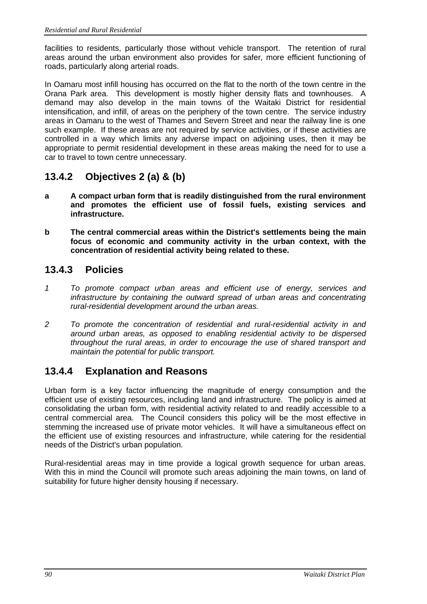facilities to residents, particularly those without vehicle transport. The retention of rural areas around the urban environment also provides for safer, more efficient functioning of roads, particularly along arterial roads.

In Oamaru most infill housing has occurred on the flat to the north of the town centre in the Orana Park area. This development is mostly higher density flats and townhouses. A demand may also develop in the main towns of the Waitaki District for residential intensification, and infill, of areas on the periphery of the town centre. The service industry areas in Oamaru to the west of Thames and Severn Street and near the railway line is one such example. If these areas are not required by service activities, or if these activities are controlled in a way which limits any adverse impact on adjoining uses, then it may be appropriate to permit residential development in these areas making the need for to use a car to travel to town centre unnecessary.

## **13.4.2 Objectives 2 (a) & (b)**

- **a A compact urban form that is readily distinguished from the rural environment and promotes the efficient use of fossil fuels, existing services and infrastructure.**
- **b The central commercial areas within the District's settlements being the main focus of economic and community activity in the urban context, with the concentration of residential activity being related to these.**

### **13.4.3 Policies**

- *1 To promote compact urban areas and efficient use of energy, services and infrastructure by containing the outward spread of urban areas and concentrating rural-residential development around the urban areas.*
- *2 To promote the concentration of residential and rural-residential activity in and around urban areas, as opposed to enabling residential activity to be dispersed throughout the rural areas, in order to encourage the use of shared transport and maintain the potential for public transport.*

## **13.4.4 Explanation and Reasons**

Urban form is a key factor influencing the magnitude of energy consumption and the efficient use of existing resources, including land and infrastructure. The policy is aimed at consolidating the urban form, with residential activity related to and readily accessible to a central commercial area. The Council considers this policy will be the most effective in stemming the increased use of private motor vehicles. It will have a simultaneous effect on the efficient use of existing resources and infrastructure, while catering for the residential needs of the District's urban population.

Rural-residential areas may in time provide a logical growth sequence for urban areas. With this in mind the Council will promote such areas adjoining the main towns, on land of suitability for future higher density housing if necessary.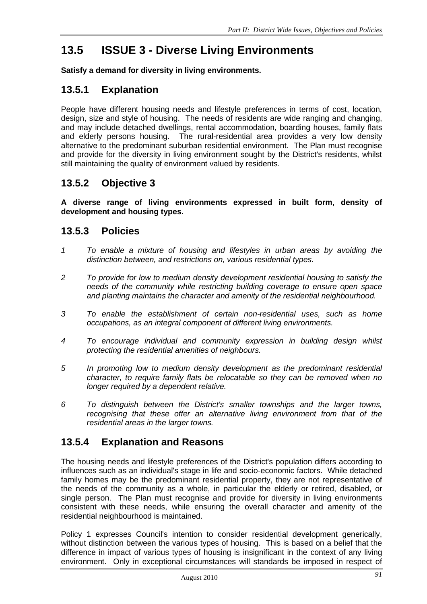## **13.5 ISSUE 3 - Diverse Living Environments**

**Satisfy a demand for diversity in living environments.**

## **13.5.1 Explanation**

People have different housing needs and lifestyle preferences in terms of cost, location, design, size and style of housing. The needs of residents are wide ranging and changing, and may include detached dwellings, rental accommodation, boarding houses, family flats and elderly persons housing. The rural-residential area provides a very low density alternative to the predominant suburban residential environment. The Plan must recognise and provide for the diversity in living environment sought by the District's residents, whilst still maintaining the quality of environment valued by residents.

## **13.5.2 Objective 3**

**A diverse range of living environments expressed in built form, density of development and housing types.**

#### **13.5.3 Policies**

- *1 To enable a mixture of housing and lifestyles in urban areas by avoiding the distinction between, and restrictions on, various residential types.*
- *2 To provide for low to medium density development residential housing to satisfy the needs of the community while restricting building coverage to ensure open space and planting maintains the character and amenity of the residential neighbourhood.*
- *3 To enable the establishment of certain non-residential uses, such as home occupations, as an integral component of different living environments.*
- *4 To encourage individual and community expression in building design whilst protecting the residential amenities of neighbours.*
- *5 In promoting low to medium density development as the predominant residential character, to require family flats be relocatable so they can be removed when no longer required by a dependent relative.*
- *6 To distinguish between the District's smaller townships and the larger towns, recognising that these offer an alternative living environment from that of the residential areas in the larger towns.*

### **13.5.4 Explanation and Reasons**

The housing needs and lifestyle preferences of the District's population differs according to influences such as an individual's stage in life and socio-economic factors. While detached family homes may be the predominant residential property, they are not representative of the needs of the community as a whole, in particular the elderly or retired, disabled, or single person. The Plan must recognise and provide for diversity in living environments consistent with these needs, while ensuring the overall character and amenity of the residential neighbourhood is maintained.

Policy 1 expresses Council's intention to consider residential development generically, without distinction between the various types of housing. This is based on a belief that the difference in impact of various types of housing is insignificant in the context of any living environment. Only in exceptional circumstances will standards be imposed in respect of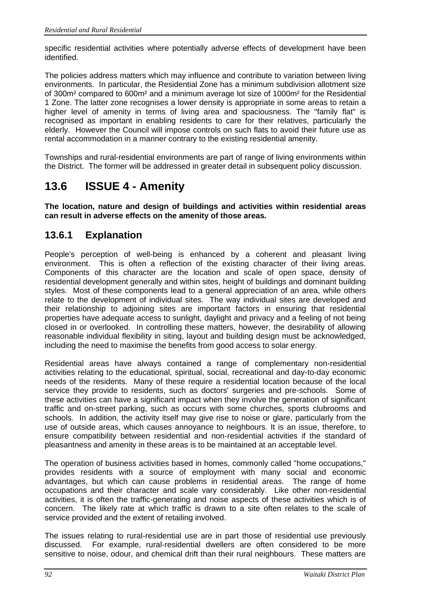specific residential activities where potentially adverse effects of development have been identified.

The policies address matters which may influence and contribute to variation between living environments. In particular, the Residential Zone has a minimum subdivision allotment size of 300m² compared to 600m² and a minimum average lot size of 1000m² for the Residential 1 Zone. The latter zone recognises a lower density is appropriate in some areas to retain a higher level of amenity in terms of living area and spaciousness. The "family flat" is recognised as important in enabling residents to care for their relatives, particularly the elderly. However the Council will impose controls on such flats to avoid their future use as rental accommodation in a manner contrary to the existing residential amenity.

Townships and rural-residential environments are part of range of living environments within the District. The former will be addressed in greater detail in subsequent policy discussion.

## **13.6 ISSUE 4 - Amenity**

**The location, nature and design of buildings and activities within residential areas can result in adverse effects on the amenity of those areas.**

## **13.6.1 Explanation**

People's perception of well-being is enhanced by a coherent and pleasant living environment. This is often a reflection of the existing character of their living areas. Components of this character are the location and scale of open space, density of residential development generally and within sites, height of buildings and dominant building styles. Most of these components lead to a general appreciation of an area, while others relate to the development of individual sites. The way individual sites are developed and their relationship to adjoining sites are important factors in ensuring that residential properties have adequate access to sunlight, daylight and privacy and a feeling of not being closed in or overlooked. In controlling these matters, however, the desirability of allowing reasonable individual flexibility in siting, layout and building design must be acknowledged, including the need to maximise the benefits from good access to solar energy.

Residential areas have always contained a range of complementary non-residential activities relating to the educational, spiritual, social, recreational and day-to-day economic needs of the residents. Many of these require a residential location because of the local service they provide to residents, such as doctors' surgeries and pre-schools. Some of these activities can have a significant impact when they involve the generation of significant traffic and on-street parking, such as occurs with some churches, sports clubrooms and schools. In addition, the activity itself may give rise to noise or glare, particularly from the use of outside areas, which causes annoyance to neighbours. It is an issue, therefore, to ensure compatibility between residential and non-residential activities if the standard of pleasantness and amenity in these areas is to be maintained at an acceptable level.

The operation of business activities based in homes, commonly called "home occupations," provides residents with a source of employment with many social and economic advantages, but which can cause problems in residential areas. The range of home occupations and their character and scale vary considerably. Like other non-residential activities, it is often the traffic-generating and noise aspects of these activities which is of concern. The likely rate at which traffic is drawn to a site often relates to the scale of service provided and the extent of retailing involved.

The issues relating to rural-residential use are in part those of residential use previously discussed. For example, rural-residential dwellers are often considered to be more sensitive to noise, odour, and chemical drift than their rural neighbours. These matters are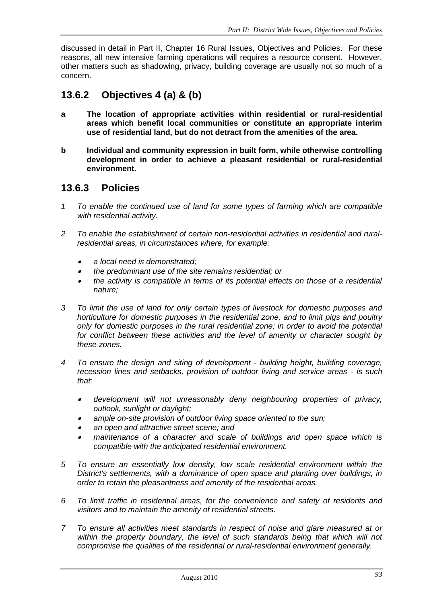discussed in detail in Part II, Chapter 16 Rural Issues, Objectives and Policies. For these reasons, all new intensive farming operations will requires a resource consent. However, other matters such as shadowing, privacy, building coverage are usually not so much of a concern.

## **13.6.2 Objectives 4 (a) & (b)**

- **a The location of appropriate activities within residential or rural-residential areas which benefit local communities or constitute an appropriate interim use of residential land, but do not detract from the amenities of the area.**
- **b Individual and community expression in built form, while otherwise controlling development in order to achieve a pleasant residential or rural-residential environment.**

#### **13.6.3 Policies**

- *1 To enable the continued use of land for some types of farming which are compatible with residential activity.*
- *2 To enable the establishment of certain non-residential activities in residential and ruralresidential areas, in circumstances where, for example:*
	- •*a local need is demonstrated;*
	- •*the predominant use of the site remains residential; or*
	- • *the activity is compatible in terms of its potential effects on those of a residential nature;*
- *3 To limit the use of land for only certain types of livestock for domestic purposes and horticulture for domestic purposes in the residential zone, and to limit pigs and poultry only for domestic purposes in the rural residential zone; in order to avoid the potential for conflict between these activities and the level of amenity or character sought by these zones.*
- *4 To ensure the design and siting of development - building height, building coverage, recession lines and setbacks, provision of outdoor living and service areas - is such that:*
	- • *development will not unreasonably deny neighbouring properties of privacy, outlook, sunlight or daylight;*
	- •*ample on-site provision of outdoor living space oriented to the sun;*
	- •*an open and attractive street scene; and*
	- • *maintenance of a character and scale of buildings and open space which is compatible with the anticipated residential environment.*
- *5 To ensure an essentially low density, low scale residential environment within the District's settlements, with a dominance of open space and planting over buildings, in order to retain the pleasantness and amenity of the residential areas.*
- *6 To limit traffic in residential areas, for the convenience and safety of residents and visitors and to maintain the amenity of residential streets.*
- *7 To ensure all activities meet standards in respect of noise and glare measured at or within the property boundary, the level of such standards being that which will not compromise the qualities of the residential or rural-residential environment generally.*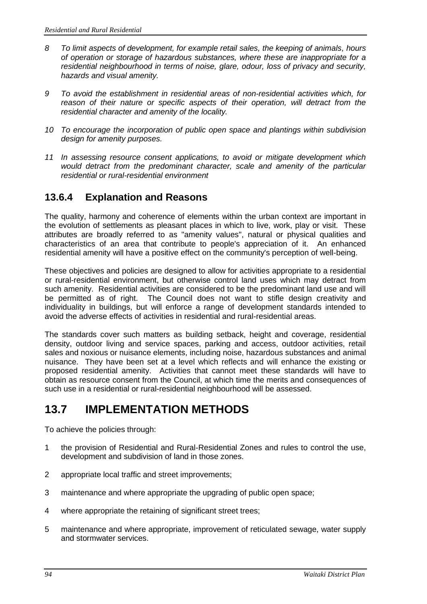- *8 To limit aspects of development, for example retail sales, the keeping of animals, hours of operation or storage of hazardous substances, where these are inappropriate for a residential neighbourhood in terms of noise, glare, odour, loss of privacy and security, hazards and visual amenity.*
- *9 To avoid the establishment in residential areas of non-residential activities which, for*  reason of their nature or specific aspects of their operation, will detract from the *residential character and amenity of the locality.*
- *10 To encourage the incorporation of public open space and plantings within subdivision design for amenity purposes.*
- *11 In assessing resource consent applications, to avoid or mitigate development which would detract from the predominant character, scale and amenity of the particular residential or rural-residential environment*

### **13.6.4 Explanation and Reasons**

The quality, harmony and coherence of elements within the urban context are important in the evolution of settlements as pleasant places in which to live, work, play or visit. These attributes are broadly referred to as "amenity values", natural or physical qualities and characteristics of an area that contribute to people's appreciation of it. An enhanced residential amenity will have a positive effect on the community's perception of well-being.

These objectives and policies are designed to allow for activities appropriate to a residential or rural-residential environment, but otherwise control land uses which may detract from such amenity. Residential activities are considered to be the predominant land use and will be permitted as of right. The Council does not want to stifle design creativity and individuality in buildings, but will enforce a range of development standards intended to avoid the adverse effects of activities in residential and rural-residential areas.

The standards cover such matters as building setback, height and coverage, residential density, outdoor living and service spaces, parking and access, outdoor activities, retail sales and noxious or nuisance elements, including noise, hazardous substances and animal nuisance. They have been set at a level which reflects and will enhance the existing or proposed residential amenity. Activities that cannot meet these standards will have to obtain as resource consent from the Council, at which time the merits and consequences of such use in a residential or rural-residential neighbourhood will be assessed.

## **13.7 IMPLEMENTATION METHODS**

To achieve the policies through:

- 1 the provision of Residential and Rural-Residential Zones and rules to control the use, development and subdivision of land in those zones.
- 2 appropriate local traffic and street improvements;
- 3 maintenance and where appropriate the upgrading of public open space;
- 4 where appropriate the retaining of significant street trees;
- 5 maintenance and where appropriate, improvement of reticulated sewage, water supply and stormwater services.